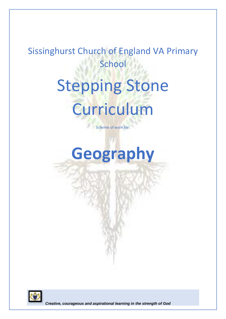## Sissinghurst Church of England VA Primary **School**

# Stepping Stone Curriculum

Scheme of work for:

## **Geography**

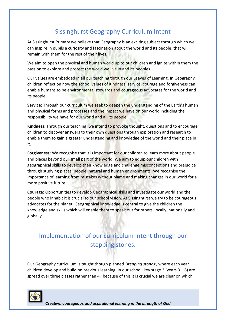### Sissinghurst Geography Curriculum Intent

At Sissinghurst Primary we believe that Geography is an exciting subject through which we can inspire in pupils a curiosity and fascination about the world and its people, that will remain with them for the rest of their lives.

We aim to open the physical and human world up to our children and ignite within them the passion to explore and protect the world we live in and its peoples.

Our values are embedded in all our teaching through our Leaves of Learning. In Geography children reflect on how the school values of Kindness, service, courage and forgiveness can enable humans to be environmental stewards and courageous advocates for the world and its people.

**Service:** Through our curriculum we seek to deepen the understanding of the Earth's human and physical forms and processes and the impact we have on our world including the responsibility we have for our world and all its people.

**Kindness:** Through our teaching, we intend to provoke thought, questions and to encourage children to discover answers to their own questions through exploration and research to enable them to gain a greater understanding and knowledge of the world and their place in it.

**Forgiveness:** We recognise that it is important for our children to learn more about people and places beyond our small part of the world. We aim to equip our children with geographical skills to develop their knowledge and challenge misconceptions and prejudice through studying places, people, natural and human environments. We recognise the importance of learning from mistakes without blame and making changes in our world for a more positive future.

**Courage:** Opportunities to develop Geographical skills and investigate our world and the people who inhabit it is crucial to our school vision. At Sissinghurst we try to be courageous advocates for the planet, Geographical knowledge is central to give the children the knowledge and skills which will enable them to speak out for others' locally, nationally and globally.

## Implementation of our curriculum Intent through our stepping stones.

Our Geography curriculum is taught though planned *'stepping stones'*, where each year children develop and build on previous learning. In our school, key stage 2 (years  $3 - 6$ ) are spread over three classes rather than 4, because of this it is crucial we are clear on which

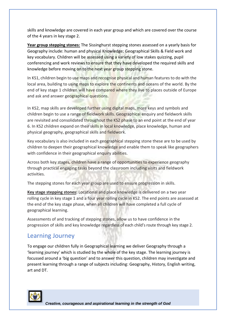skills and knowledge are covered in each year group and which are covered over the course of the 4 years in key stage 2.

**Year group stepping stones:** The Sissinghurst stepping stones assessed on a yearly basis for Geography include: human and physical Knowledge; Geographical Skills & Field work and key vocabulary. Children will be assessed using a variety of low stakes quizzing, pupil conferencing and work reviews to ensure that they have developed the required skills and knowledge before moving on to the next year group stepping stone.

In KS1, children begin to use maps and recognise physical and human features to do with the local area, building to using maps to explore the continents and oceans of the world. By the end of key stage 1 children will have compared where they live to places outside of Europe and ask and answer geographical questions.

In KS2, map skills are developed further using digital maps, more keys and symbols and children begin to use a range of fieldwork skills. Geographical enquiry and fieldwork skills are revisited and consolidated throughout the KS2 phase to an end point at the end of year 6. In KS2 children expand on their skills in local knowledge, place knowledge, human and physical geography, geographical skills and fieldwork.

Key vocabulary is also included in each geographical stepping stone these are to be used by children to deepen their geographical knowledge and enable them to speak like geographers with confidence in their geographical enquiry abilities.

Across both key stages, children have a range of opportunities to experience geography through practical engaging tasks beyond the classroom including visits and fieldwork activities.

The stepping stones for each year group are used to ensure progression in skills.

**Key stage stepping stones:** Locational and place knowledge is delivered on a two year rolling cycle in key stage 1 and a four year rolling cycle in KS2. The end points are assessed at the end of the key stage phase, when all children will have completed a full cycle of geographical learning.

Assessments of and tracking of stepping stones, allow us to have confidence in the progression of skills and key knowledge regardless of each child's route through key stage 2.

### Learning Journey

To engage our children fully in Geographical learning we deliver Geography through a 'learning journey' which is studied by the whole of the key stage. The learning journey is focussed around a 'big question' and to answer this question, children may investigate and present learning through a range of subjects including: Geography, History, English writing, art and DT.

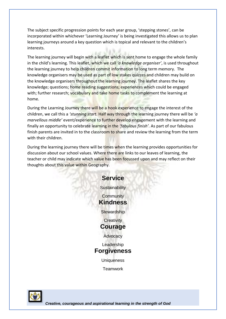The subject specific progression points for each year group, 'stepping stones', can be incorporated within whichever 'Learning Journey' is being investigated this allows us to plan learning journeys around a key question which is topical and relevant to the children's interests.

The learning journey will begin with a leaflet which is sent home to engage the whole family in the child's learning. This leaflet, which we call *'a knowledge organiser'*, is used throughout the learning journey to help children commit information to long term memory. The knowledge organisers may be used as part of low stakes quizzes and children may build on the knowledge organisers throughout the learning journey. The leaflet shares the key knowledge; questions; home reading suggestions; experiences which could be engaged with; further research; vocabulary and take home tasks to complement the learning at home.

During the Learning Journey there will be a hook experience to engage the interest of the children, we call this a *'stunning start.* Half way through the learning journey there will be *'a marvellous middle'* event/experience to further develop engagement with the learning and finally an opportunity to celebrate learning in the *'fabulous finish'*. As part of our fabulous finish parents are invited in to the classroom to share and review the learning from the term with their children.

During the learning journey there will be times when the learning provides opportunities for discussion about our school values. Where there are links to our leaves of learning, the teacher or child may indicate which value has been focussed upon and may reflect on their thoughts about this value within Geography.



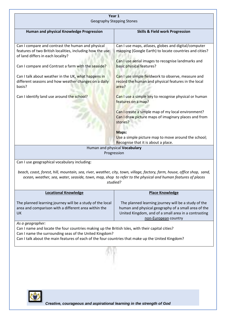| Year 1<br><b>Geography Stepping Stones</b>                                                                                                                                                                                                                                          |                                                                                                                                                                                            |  |  |  |
|-------------------------------------------------------------------------------------------------------------------------------------------------------------------------------------------------------------------------------------------------------------------------------------|--------------------------------------------------------------------------------------------------------------------------------------------------------------------------------------------|--|--|--|
| Human and physical Knowledge Progression                                                                                                                                                                                                                                            | <b>Skills &amp; Field work Progression</b>                                                                                                                                                 |  |  |  |
| Can I compare and contrast the human and physical<br>features of two British localities, including how the use<br>of land differs in each locality?                                                                                                                                 | Can I use maps, atlases, globes and digital/computer<br>mapping (Google Earth) to locate countries and cities?                                                                             |  |  |  |
| Can I compare and Contrast a farm with the seaside?                                                                                                                                                                                                                                 | Can I use aerial images to recognise landmarks and<br>basic physical features?                                                                                                             |  |  |  |
| Can I talk about weather in the UK, what happens in<br>different seasons and how weather changes on a daily<br>basis?                                                                                                                                                               | Can I use simple fieldwork to observe, measure and<br>record the human and physical features in the local<br>area?                                                                         |  |  |  |
| Can I identify land use around the school?                                                                                                                                                                                                                                          | Can I use a simple key to recognise physical or human<br>features on a map?                                                                                                                |  |  |  |
|                                                                                                                                                                                                                                                                                     | Can I create a simple map of my local environment?<br>Can I draw picture maps of imaginary places and from<br>stories?                                                                     |  |  |  |
|                                                                                                                                                                                                                                                                                     | Maps:<br>Use a simple picture map to move around the school;<br>Recognise that it is about a place.                                                                                        |  |  |  |
|                                                                                                                                                                                                                                                                                     | Human and physical Vocabulary<br>Progression                                                                                                                                               |  |  |  |
| Can I use geographical vocabulary including:                                                                                                                                                                                                                                        |                                                                                                                                                                                            |  |  |  |
| beach, coast, forest, hill, mountain, sea, river, weather, city, town, village, factory, farm, house, office shop, sand,<br>ocean, weather, sea, water, seaside, town, map, shop to refer to the physical and human features of places<br>studied?                                  |                                                                                                                                                                                            |  |  |  |
| <b>Locational Knowledge</b>                                                                                                                                                                                                                                                         | <b>Place Knowledge</b>                                                                                                                                                                     |  |  |  |
| The planned learning journey will be a study of the local<br>area and comparison with a different area within the<br>UK                                                                                                                                                             | The planned learning journey will be a study of the<br>human and physical geography of a small area of the<br>United Kingdom, and of a small area in a contrasting<br>non-European country |  |  |  |
| As a geographer:<br>Can I name and locate the four countries making up the British Isles, with their capital cities?<br>Can I name the surrounding seas of the United Kingdom?<br>Can I talk about the main features of each of the four countries that make up the United Kingdom? |                                                                                                                                                                                            |  |  |  |
|                                                                                                                                                                                                                                                                                     |                                                                                                                                                                                            |  |  |  |

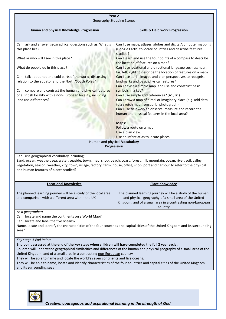|                                                                                                                                                                                                                                                                                                                                                                                                                                                                                                                                                                        | Year 2<br><b>Geography Stepping Stones</b>                                                                                                                                                                                             |
|------------------------------------------------------------------------------------------------------------------------------------------------------------------------------------------------------------------------------------------------------------------------------------------------------------------------------------------------------------------------------------------------------------------------------------------------------------------------------------------------------------------------------------------------------------------------|----------------------------------------------------------------------------------------------------------------------------------------------------------------------------------------------------------------------------------------|
| Human and physical Knowledge Progression                                                                                                                                                                                                                                                                                                                                                                                                                                                                                                                               | <b>Skills &amp; Field work Progression</b>                                                                                                                                                                                             |
| Can I ask and answer geographical questions such as: What is<br>this place like?                                                                                                                                                                                                                                                                                                                                                                                                                                                                                       | Can I use maps, atlases, globes and digital/computer mapping<br>(Google Earth) to locate countries and describe features<br>studied?                                                                                                   |
| What or who will I see in this place?                                                                                                                                                                                                                                                                                                                                                                                                                                                                                                                                  | Can I learn and use the four points of a compass to describe                                                                                                                                                                           |
| What do people do in this place?                                                                                                                                                                                                                                                                                                                                                                                                                                                                                                                                       | the location of features on a map?<br>Can I use locational and directional language such as: near,                                                                                                                                     |
| Can I talk about hot and cold parts of the world, discussing in<br>relation to the equator and the North/South Poles?<br>Can I compare and contrast the human and physical features                                                                                                                                                                                                                                                                                                                                                                                    | far, left, right to describe the location of features on a map?<br>Can I use aerial images and plan perspectives to recognise<br>landmarks and basic physical features?<br>Can I devise a simple map, and use and construct basic      |
| of a British locality with a non-European locality, including<br>land use differences?                                                                                                                                                                                                                                                                                                                                                                                                                                                                                 | symbols in a key?<br>Can I use simple grid references? (A1, B1)<br>Can I draw a map of a real or imaginary place (e.g. add detail<br>to a sketch map from aerial photograph)<br>Can I use fieldwork to observe, measure and record the |
|                                                                                                                                                                                                                                                                                                                                                                                                                                                                                                                                                                        | human and physical features in the local area?<br>Maps:<br>Follow a route on a map.                                                                                                                                                    |
|                                                                                                                                                                                                                                                                                                                                                                                                                                                                                                                                                                        | Use a plan view.<br>Use an infant atlas to locate places.                                                                                                                                                                              |
|                                                                                                                                                                                                                                                                                                                                                                                                                                                                                                                                                                        | Human and physical Vocabulary<br>Progression                                                                                                                                                                                           |
| Can I use geographical vocabulary including:<br>Sand, ocean, weather, sea, water, seaside, town, map, shop, beach, coast, forest, hill, mountain, ocean, river, soil, valley,<br>vegetation, season, weather, city, town, village, factory, farm, house, office, shop, port and harbour to refer to the physical<br>and human features of places studied?                                                                                                                                                                                                              |                                                                                                                                                                                                                                        |
| <b>Locational Knowledge</b>                                                                                                                                                                                                                                                                                                                                                                                                                                                                                                                                            | <b>Place Knowledge</b>                                                                                                                                                                                                                 |
| The planned learning journey will be a study of the local area<br>and comparison with a different area within the UK                                                                                                                                                                                                                                                                                                                                                                                                                                                   | The planned learning journey will be a study of the human<br>and physical geography of a small area of the United<br>Kingdom, and of a small area in a contrasting non-European                                                        |
| As a geographer:<br>Can I locate and name the continents on a World Map?<br>Can I locate and label the five oceans?<br>Name, locate and identify the characteristics of the four countries and capital cities of the United Kingdom and its surrounding<br>seas?                                                                                                                                                                                                                                                                                                       | country                                                                                                                                                                                                                                |
| Key stage 1 End Point:<br>End point assessed at the end of the key stage when children will have completed the full 2 year cycle.<br>Children will understand geographical similarities and differences of the human and physical geography of a small area of the<br>United Kingdom, and of a small area in a contrasting non-European country<br>They will be able to name and locate the world's seven continents and five oceans.<br>They will be able to name, locate and identify characteristics of the four countries and capital cities of the United Kingdom |                                                                                                                                                                                                                                        |

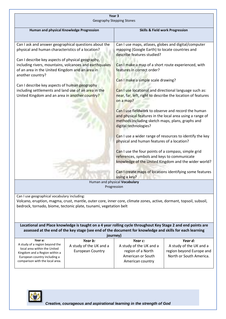| Year 3<br><b>Geography Stepping Stones</b>                                                                                                                                                                                                                                                                                                                                                                                                                                      |                                                          |                                                                                                                                                                                                                                                                                                                                                                                                                                                                                                                                                                                                                                                                                                                                                                                                                                                                               |                                                                                |
|---------------------------------------------------------------------------------------------------------------------------------------------------------------------------------------------------------------------------------------------------------------------------------------------------------------------------------------------------------------------------------------------------------------------------------------------------------------------------------|----------------------------------------------------------|-------------------------------------------------------------------------------------------------------------------------------------------------------------------------------------------------------------------------------------------------------------------------------------------------------------------------------------------------------------------------------------------------------------------------------------------------------------------------------------------------------------------------------------------------------------------------------------------------------------------------------------------------------------------------------------------------------------------------------------------------------------------------------------------------------------------------------------------------------------------------------|--------------------------------------------------------------------------------|
| Human and physical Knowledge Progression                                                                                                                                                                                                                                                                                                                                                                                                                                        | <b>Skills &amp; Field work Progression</b>               |                                                                                                                                                                                                                                                                                                                                                                                                                                                                                                                                                                                                                                                                                                                                                                                                                                                                               |                                                                                |
|                                                                                                                                                                                                                                                                                                                                                                                                                                                                                 |                                                          |                                                                                                                                                                                                                                                                                                                                                                                                                                                                                                                                                                                                                                                                                                                                                                                                                                                                               |                                                                                |
| Can I ask and answer geographical questions about the<br>physical and human characteristics of a location?<br>Can I describe key aspects of physical geography,<br>including rivers, mountains, volcanoes and earthquakes<br>of an area in the United Kingdom and an area in<br>another country?<br>Can I describe key aspects of human geography<br>including settlements and land use of an area in the<br>United Kingdom and an area in another country?                     |                                                          | Can I use maps, atlases, globes and digital/computer<br>mapping (Google Earth) to locate countries and<br>describe features studied?<br>Can I make a map of a short route experienced, with<br>features in correct order?<br>Can I make a simple scale drawing?<br>Can I use locational and directional language such as:<br>near, far, left, right to describe the location of features<br>on a map?<br>Can I use fieldwork to observe and record the human<br>and physical features in the local area using a range of<br>methods including sketch maps, plans, graphs and<br>digital technologies?<br>Can I use a wider range of resources to identify the key<br>physical and human features of a location?<br>Can I use the four points of a compass, simple grid<br>references, symbols and keys to communicate<br>knowledge of the United Kingdom and the wider world? |                                                                                |
|                                                                                                                                                                                                                                                                                                                                                                                                                                                                                 | Can I create maps of locations identifying some features |                                                                                                                                                                                                                                                                                                                                                                                                                                                                                                                                                                                                                                                                                                                                                                                                                                                                               |                                                                                |
|                                                                                                                                                                                                                                                                                                                                                                                                                                                                                 |                                                          | using a key?<br>Human and physical Vocabulary                                                                                                                                                                                                                                                                                                                                                                                                                                                                                                                                                                                                                                                                                                                                                                                                                                 |                                                                                |
|                                                                                                                                                                                                                                                                                                                                                                                                                                                                                 |                                                          | Progression                                                                                                                                                                                                                                                                                                                                                                                                                                                                                                                                                                                                                                                                                                                                                                                                                                                                   |                                                                                |
| Can I use geographical vocabulary including:<br>Volcano, eruption, magma, crust, mantle, outer core, inner core, climate zones, active, dormant, topsoil, subsoil,<br>bedrock, tornado, biome, tectonic plate, tsunami, vegetation belt<br>Locational and Place knowledge is taught on a 4 year rolling cycle throughout Key Stage 2 and end points are<br>assessed at the end of the key stage (see end of the document for knowledge and skills for each learning<br>journey) |                                                          |                                                                                                                                                                                                                                                                                                                                                                                                                                                                                                                                                                                                                                                                                                                                                                                                                                                                               |                                                                                |
| Year a:<br>Year b:                                                                                                                                                                                                                                                                                                                                                                                                                                                              |                                                          | Year c:                                                                                                                                                                                                                                                                                                                                                                                                                                                                                                                                                                                                                                                                                                                                                                                                                                                                       | Year d:                                                                        |
| A study of a region beyond the<br>A study of the UK and a<br>local area within the United<br><b>European Country</b><br>Kingdom and a Region within a<br>European country including a<br>comparison with the local area.                                                                                                                                                                                                                                                        |                                                          | A study of the UK and a<br>region of a North<br>American or South<br>American country                                                                                                                                                                                                                                                                                                                                                                                                                                                                                                                                                                                                                                                                                                                                                                                         | A study of the UK and a<br>region beyond Europe and<br>North or South America. |

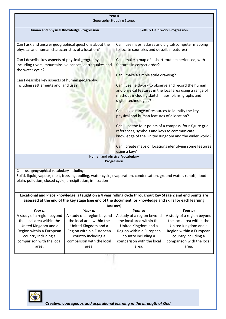| Year 4                                                                                                                           |                                                                          |                                                                                                                                                                                              |                                                      |  |
|----------------------------------------------------------------------------------------------------------------------------------|--------------------------------------------------------------------------|----------------------------------------------------------------------------------------------------------------------------------------------------------------------------------------------|------------------------------------------------------|--|
|                                                                                                                                  | <b>Geography Stepping Stones</b>                                         |                                                                                                                                                                                              |                                                      |  |
| Human and physical Knowledge Progression                                                                                         |                                                                          | <b>Skills &amp; Field work Progression</b>                                                                                                                                                   |                                                      |  |
|                                                                                                                                  |                                                                          |                                                                                                                                                                                              |                                                      |  |
| Can I ask and answer geographical questions about the<br>physical and human characteristics of a location?                       |                                                                          | Can I use maps, atlases and digital/computer mapping<br>to locate countries and describe features?                                                                                           |                                                      |  |
| Can I describe key aspects of physical geography,<br>including rivers, mountains, volcanoes, earthquakes and<br>the water cycle? |                                                                          | Can I make a map of a short route experienced, with<br>features in correct order?                                                                                                            |                                                      |  |
| Can I describe key aspects of human geography                                                                                    |                                                                          | Can I make a simple scale drawing?                                                                                                                                                           |                                                      |  |
| including settlements and land use?                                                                                              |                                                                          | Can I use fieldwork to observe and record the human<br>and physical features in the local area using a range of<br>methods including sketch maps, plans, graphs and<br>digital technologies? |                                                      |  |
| Can I use a range of resources to identify the key<br>physical and human features of a location?                                 |                                                                          |                                                                                                                                                                                              |                                                      |  |
|                                                                                                                                  |                                                                          | Can I use the four points of a compass, four-figure grid<br>references, symbols and keys to communicate                                                                                      | knowledge of the United Kingdom and the wider world? |  |
|                                                                                                                                  | Can I create maps of locations identifying some features<br>using a key? |                                                                                                                                                                                              |                                                      |  |
|                                                                                                                                  |                                                                          | Human and physical Vocabulary                                                                                                                                                                |                                                      |  |
|                                                                                                                                  |                                                                          | Progression                                                                                                                                                                                  |                                                      |  |
| Can I use geographical vocabulary including:<br>plain, pollution, closed cycle, precipitation, infiltration                      |                                                                          | Solid, liquid, vapour, melt, freezing, boiling, water cycle, evaporation, condensation, ground water, runoff, flood                                                                          |                                                      |  |
|                                                                                                                                  |                                                                          | Locational and Place knowledge is taught on a 4 year rolling cycle throughout Key Stage 2 and end points are                                                                                 |                                                      |  |
|                                                                                                                                  |                                                                          | assessed at the end of the key stage (see end of the document for knowledge and skills for each learning                                                                                     |                                                      |  |
|                                                                                                                                  |                                                                          | journey)                                                                                                                                                                                     |                                                      |  |
| Year a:<br>A study of a region beyond                                                                                            | Year a:<br>A study of a region beyond                                    | Year a:<br>A study of a region beyond                                                                                                                                                        | Year a:<br>A study of a region beyond                |  |
| the local area within the                                                                                                        | the local area within the                                                | the local area within the                                                                                                                                                                    | the local area within the                            |  |
| United Kingdom and a                                                                                                             | United Kingdom and a                                                     | United Kingdom and a                                                                                                                                                                         | United Kingdom and a                                 |  |
| Region within a European                                                                                                         | Region within a European                                                 | Region within a European                                                                                                                                                                     | Region within a European                             |  |
| country including a                                                                                                              | country including a                                                      | country including a                                                                                                                                                                          | country including a                                  |  |
| comparison with the local<br>area.                                                                                               | comparison with the local<br>area.                                       | comparison with the local<br>area.                                                                                                                                                           | comparison with the local<br>area.                   |  |
|                                                                                                                                  |                                                                          |                                                                                                                                                                                              |                                                      |  |

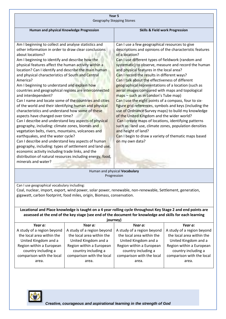| Year 5                                                                                                       |                                                                                                                |  |  |
|--------------------------------------------------------------------------------------------------------------|----------------------------------------------------------------------------------------------------------------|--|--|
| <b>Geography Stepping Stones</b>                                                                             |                                                                                                                |  |  |
| Human and physical Knowledge Progression                                                                     | <b>Skills &amp; Field work Progression</b>                                                                     |  |  |
|                                                                                                              |                                                                                                                |  |  |
| Am I beginning to collect and analyse statistics and<br>other information in order to draw clear conclusions | Can I use a few geographical resources to give                                                                 |  |  |
| about locations?                                                                                             | descriptions and opinions of the characteristic features<br>of a location?                                     |  |  |
| Am I beginning to identify and describe how the                                                              | Can I use different types of fieldwork (random and                                                             |  |  |
| physical features affect the human activity within a                                                         | systematic) to observe, measure and record the human                                                           |  |  |
| location? Can I identify and describe the main human                                                         | and physical features in the local area?                                                                       |  |  |
| and physical characteristics of South and Central                                                            | Can I record the results in different ways?                                                                    |  |  |
| America?                                                                                                     | Can I talk about the effectiveness of different                                                                |  |  |
| Am I beginning to understand and explain how<br>countries and geographical regions are interconnected        | geographical representations of a location (such as<br>aerial images compared with maps and topological        |  |  |
| and interdependent?                                                                                          | maps - such as in London's Tube map)                                                                           |  |  |
| Can I name and locate some of the countries and cities                                                       | Can I use the eight points of a compass, four to six-                                                          |  |  |
| of the world and their identifying human and physical                                                        | figure grid references, symbols and keys (including the                                                        |  |  |
| characteristics and understand how some of these                                                             | use of Ordnance Survey maps) to build my knowledge                                                             |  |  |
| aspects have changed over time?                                                                              | of the United Kingdom and the wider world?                                                                     |  |  |
| Can I describe and understand key aspects of physical<br>geography, including: climate zones, biomes and     | Can I create maps of locations, identifying patterns<br>such as: land use, climate zones, population densities |  |  |
| vegetation belts, rivers, mountains, volcanoes and                                                           | and height of land?                                                                                            |  |  |
| earthquakes, and the water cycle?                                                                            | Can I begin to draw a variety of thematic maps based                                                           |  |  |
| Can I describe and understand key aspects of human                                                           | on my own data?                                                                                                |  |  |
| geography, including: types of settlement and land use,                                                      |                                                                                                                |  |  |
| economic activity including trade links, and the                                                             |                                                                                                                |  |  |
| distribution of natural resources including energy, food,<br>minerals and water?                             |                                                                                                                |  |  |
|                                                                                                              |                                                                                                                |  |  |
| Human and physical Vocabulary                                                                                |                                                                                                                |  |  |

Progression

Can I use geographical vocabulary including:

Coal, nuclear, import, export, wind power, solar power, renewable, non-renewable, Settlement, generation, gigawatt, carbon footprint, food miles, origin, Biomass, conservation.

**Locational and Place knowledge is taught on a 4 year rolling cycle throughout Key Stage 2 and end points are assessed at the end of the key stage (see end of the document for knowledge and skills for each learning** 

| journey)                   |                            |                            |                            |
|----------------------------|----------------------------|----------------------------|----------------------------|
| Year a:                    | Year a:                    | Year a:                    | Year a:                    |
| A study of a region beyond | A study of a region beyond | A study of a region beyond | A study of a region beyond |
| the local area within the  | the local area within the  | the local area within the  | the local area within the  |
| United Kingdom and a       | United Kingdom and a       | United Kingdom and a       | United Kingdom and a       |
| Region within a European   | Region within a European   | Region within a European   | Region within a European   |
| country including a        | country including a        | country including a        | country including a        |
| comparison with the local  | comparison with the local  | comparison with the local  | comparison with the local  |
| area.                      | area.                      | area.                      | area.                      |
|                            |                            |                            |                            |

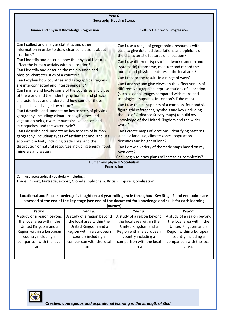| Year <sub>6</sub>                                                                                                                                                                                                                                                                                                                                                                                                                                                                                                                                                                                                                                                                                                                                                                                                                                                                                                                                                                                                                                                                                                                                 |                                                                                                          |                                                                                                                                                                                                                                                                                                                                                                                                                                                                                                                                                                                                                                                                                                                                                                                                                                                                                                                                                                                                                                                                             |                                                         |  |
|---------------------------------------------------------------------------------------------------------------------------------------------------------------------------------------------------------------------------------------------------------------------------------------------------------------------------------------------------------------------------------------------------------------------------------------------------------------------------------------------------------------------------------------------------------------------------------------------------------------------------------------------------------------------------------------------------------------------------------------------------------------------------------------------------------------------------------------------------------------------------------------------------------------------------------------------------------------------------------------------------------------------------------------------------------------------------------------------------------------------------------------------------|----------------------------------------------------------------------------------------------------------|-----------------------------------------------------------------------------------------------------------------------------------------------------------------------------------------------------------------------------------------------------------------------------------------------------------------------------------------------------------------------------------------------------------------------------------------------------------------------------------------------------------------------------------------------------------------------------------------------------------------------------------------------------------------------------------------------------------------------------------------------------------------------------------------------------------------------------------------------------------------------------------------------------------------------------------------------------------------------------------------------------------------------------------------------------------------------------|---------------------------------------------------------|--|
| <b>Geography Stepping Stones</b>                                                                                                                                                                                                                                                                                                                                                                                                                                                                                                                                                                                                                                                                                                                                                                                                                                                                                                                                                                                                                                                                                                                  |                                                                                                          |                                                                                                                                                                                                                                                                                                                                                                                                                                                                                                                                                                                                                                                                                                                                                                                                                                                                                                                                                                                                                                                                             |                                                         |  |
|                                                                                                                                                                                                                                                                                                                                                                                                                                                                                                                                                                                                                                                                                                                                                                                                                                                                                                                                                                                                                                                                                                                                                   |                                                                                                          |                                                                                                                                                                                                                                                                                                                                                                                                                                                                                                                                                                                                                                                                                                                                                                                                                                                                                                                                                                                                                                                                             |                                                         |  |
|                                                                                                                                                                                                                                                                                                                                                                                                                                                                                                                                                                                                                                                                                                                                                                                                                                                                                                                                                                                                                                                                                                                                                   |                                                                                                          | <b>Skills &amp; Field work Progression</b>                                                                                                                                                                                                                                                                                                                                                                                                                                                                                                                                                                                                                                                                                                                                                                                                                                                                                                                                                                                                                                  |                                                         |  |
|                                                                                                                                                                                                                                                                                                                                                                                                                                                                                                                                                                                                                                                                                                                                                                                                                                                                                                                                                                                                                                                                                                                                                   |                                                                                                          |                                                                                                                                                                                                                                                                                                                                                                                                                                                                                                                                                                                                                                                                                                                                                                                                                                                                                                                                                                                                                                                                             |                                                         |  |
| Human and physical Knowledge Progression<br>Can I collect and analyse statistics and other<br>information in order to draw clear conclusions about<br>locations?<br>Can I identify and describe how the physical features<br>affect the human activity within a location?<br>Can I identify and describe the main human and<br>physical characteristics of a country?<br>Can I explain how countries and geographical regions<br>are interconnected and interdependent?<br>Can I name and locate some of the countries and cities<br>of the world and their identifying human and physical<br>characteristics and understand how some of these<br>aspects have changed over time?<br>Can I describe and understand key aspects of physical<br>geography, including: climate zones, biomes and<br>vegetation belts, rivers, mountains, volcanoes and<br>earthquakes, and the water cycle?<br>Can I describe and understand key aspects of human<br>geography, including: types of settlement and land use,<br>economic activity including trade links, and the<br>distribution of natural resources including energy, food,<br>minerals and water? |                                                                                                          | Can I use a range of geographical resources with<br>ease to give detailed descriptions and opinions of<br>the characteristic features of a location?<br>Can I use different types of fieldwork (random and<br>systematic) to observe, measure and record the<br>human and physical features in the local area?<br>Can I record the results in a range of ways?<br>Can I analyse and give views on the effectiveness of<br>different geographical representations of a location<br>(such as aerial images compared with maps and<br>topological maps - as in London's Tube map)<br>Can I use the eight points of a compass, four and six-<br>figure grid references, symbols and key (including<br>the use of Ordnance Survey maps) to build my<br>knowledge of the United Kingdom and the wider<br>world?<br>Can I create maps of locations, identifying patterns<br>such as: land use, climate zones, population<br>densities and height of land?<br>Can I draw a variety of thematic maps based on my<br>own data?<br>Can I begin to draw plans of increasing complexity? |                                                         |  |
|                                                                                                                                                                                                                                                                                                                                                                                                                                                                                                                                                                                                                                                                                                                                                                                                                                                                                                                                                                                                                                                                                                                                                   |                                                                                                          | Human and physical Vocabulary                                                                                                                                                                                                                                                                                                                                                                                                                                                                                                                                                                                                                                                                                                                                                                                                                                                                                                                                                                                                                                               |                                                         |  |
| Progression                                                                                                                                                                                                                                                                                                                                                                                                                                                                                                                                                                                                                                                                                                                                                                                                                                                                                                                                                                                                                                                                                                                                       |                                                                                                          |                                                                                                                                                                                                                                                                                                                                                                                                                                                                                                                                                                                                                                                                                                                                                                                                                                                                                                                                                                                                                                                                             |                                                         |  |
| Can I use geographical vocabulary including:<br>Trade, import, fairtrade, export, Global supply chain, British Empire, globalisation.                                                                                                                                                                                                                                                                                                                                                                                                                                                                                                                                                                                                                                                                                                                                                                                                                                                                                                                                                                                                             |                                                                                                          |                                                                                                                                                                                                                                                                                                                                                                                                                                                                                                                                                                                                                                                                                                                                                                                                                                                                                                                                                                                                                                                                             |                                                         |  |
| Locational and Place knowledge is taught on a 4 year rolling cycle throughout Key Stage 2 and end points are                                                                                                                                                                                                                                                                                                                                                                                                                                                                                                                                                                                                                                                                                                                                                                                                                                                                                                                                                                                                                                      |                                                                                                          |                                                                                                                                                                                                                                                                                                                                                                                                                                                                                                                                                                                                                                                                                                                                                                                                                                                                                                                                                                                                                                                                             |                                                         |  |
|                                                                                                                                                                                                                                                                                                                                                                                                                                                                                                                                                                                                                                                                                                                                                                                                                                                                                                                                                                                                                                                                                                                                                   | assessed at the end of the key stage (see end of the document for knowledge and skills for each learning |                                                                                                                                                                                                                                                                                                                                                                                                                                                                                                                                                                                                                                                                                                                                                                                                                                                                                                                                                                                                                                                                             |                                                         |  |
|                                                                                                                                                                                                                                                                                                                                                                                                                                                                                                                                                                                                                                                                                                                                                                                                                                                                                                                                                                                                                                                                                                                                                   |                                                                                                          | journey)                                                                                                                                                                                                                                                                                                                                                                                                                                                                                                                                                                                                                                                                                                                                                                                                                                                                                                                                                                                                                                                                    |                                                         |  |
| Year a:                                                                                                                                                                                                                                                                                                                                                                                                                                                                                                                                                                                                                                                                                                                                                                                                                                                                                                                                                                                                                                                                                                                                           | Year a:                                                                                                  | Year a:                                                                                                                                                                                                                                                                                                                                                                                                                                                                                                                                                                                                                                                                                                                                                                                                                                                                                                                                                                                                                                                                     | Year a:                                                 |  |
| A study of a region beyond<br>the local area within the                                                                                                                                                                                                                                                                                                                                                                                                                                                                                                                                                                                                                                                                                                                                                                                                                                                                                                                                                                                                                                                                                           | A study of a region beyond<br>the local area within the                                                  | A study of a region beyond<br>the local area within the                                                                                                                                                                                                                                                                                                                                                                                                                                                                                                                                                                                                                                                                                                                                                                                                                                                                                                                                                                                                                     | A study of a region beyond<br>the local area within the |  |

| journey)                                                                     |                                                                              |                                                                              |                                                                              |
|------------------------------------------------------------------------------|------------------------------------------------------------------------------|------------------------------------------------------------------------------|------------------------------------------------------------------------------|
| Year a:                                                                      | Year a:                                                                      | Year a:                                                                      | Year a:                                                                      |
| A study of a region beyond                                                   | A study of a region beyond                                                   | A study of a region beyond                                                   | A study of a region beyond                                                   |
| the local area within the                                                    | the local area within the                                                    | the local area within the                                                    | the local area within the                                                    |
| United Kingdom and a                                                         | United Kingdom and a                                                         | United Kingdom and a                                                         | United Kingdom and a                                                         |
| Region within a European<br>country including a<br>comparison with the local | Region within a European<br>country including a<br>comparison with the local | Region within a European<br>country including a<br>comparison with the local | Region within a European<br>country including a<br>comparison with the local |
| area.                                                                        | area.                                                                        | area.                                                                        | area.                                                                        |

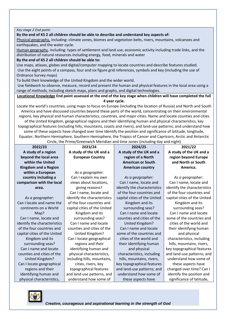#### *Key stage 2 End point:*

#### **By the end of KS 2 all children should be able to describe and understand key aspects of:**

Physical geography, including: climate zones, biomes and vegetation belts, rivers, mountains, volcanoes and earthquakes, and the water cycle.

Human geography, including: types of settlement and land use, economic activity including trade links, and the distribution of natural resources including energy, food, minerals and water

**By the end of KS 2 all children should be able to:**

Use maps, atlases, globes and digital/computer mapping to locate countries and describe features studied. Use the eight points of a compass, four and six figure grid references, symbols and key (including the use of Ordnance Survey maps)

To build their knowledge of the United Kingdom and the wider world.

Use fieldwork to observe, measure, record and present the human and physical features in the local area using a range of methods, including sketch maps, plans and graphs, and digital technologies.

**Locational Knowledge End point assessed at the end of the key stage when children will have completed the full 4 year cycle.**

Locate the world's countries, using maps to focus on Europe (including the location of Russia) and North and South America and have discussed countries beyond these parts of the world, concentrating on their environmental regions, key physical and human characteristics, countries, and major cities. Name and locate counties and cities of the United Kingdom, geographical regions and their identifying human and physical characteristics, key topographical features (including hills, mountains, coasts and rivers), and land-use patterns; and understand how some of these aspects have changed over time Identify the position and significance of latitude, longitude, Equator, Northern Hemisphere, Southern Hemisphere, the Tropics of Cancer and Capricorn, Arctic and Antarctic Circle, the Prime/Greenwich Meridian and time zones (including day and night)

| 2022/23                      | 2023/24                      | Chele, the Frink, dicentifient incrition and three zones (including day and ingilit)<br>2024/25 | 2021/22                      |
|------------------------------|------------------------------|-------------------------------------------------------------------------------------------------|------------------------------|
| A study of a region          | A study of the UK and a      | A study of the UK and a                                                                         | A study of the UK and a      |
| beyond the local area        | <b>European Country</b>      | region of a North                                                                               | region beyond Europe         |
| within the United            |                              | <b>American or South</b>                                                                        | and North or South           |
| <b>Kingdom and a Region</b>  |                              | <b>American country</b>                                                                         | America.                     |
| within a European            | As a geographer:             |                                                                                                 |                              |
| country including a          | Can I explain my own         | As a geographer:                                                                                | As a geographer:             |
| comparison with the local    | views about locations,       | Can I name, locate and                                                                          | Can I name, locate and       |
| area.                        | giving reasons?              | identify the characteristics                                                                    | identify the characteristics |
|                              | Can I name, locate and       | of the four countries and                                                                       | of the four countries and    |
| As a geographer:             | identify the characteristics | capital cities of the United                                                                    | capital cities of the United |
| Can I locate and name the    | of the four countries and    | Kingdom and its                                                                                 | Kingdom and its              |
| continents on a World        | capital cities of the United | surrounding seas?                                                                               | surrounding seas?            |
| Map?                         | Kingdom and its              | Can I name and locate                                                                           | Can I name and locate        |
| Can I name, locate and       | surrounding seas?            | counties and cities of the                                                                      | some of the countries and    |
| identify the characteristics | Can I name and locate        | United Kingdom?                                                                                 | cities of the world and      |
| of the four countries and    | counties and cities of the   | Can I name and locate                                                                           | their identifying human      |
| capital cities of the United | United Kingdom?              | some of the countries and                                                                       | and physical                 |
| Kingdom and its              | Can I locate geographical    | cities of the world and                                                                         | characteristics, including   |
| surrounding seas?            | regions and their            | their identifying human                                                                         | hills, mountains, rivers,    |
| Can I name and locate        | identifying human and        | and physical                                                                                    | key topographical features   |
| counties and cities of the   | physical characteristics,    | characteristics, including                                                                      | and land-use patterns; and   |
| United Kingdom?              | including hills, mountains,  | hills, mountains, rivers,                                                                       | understand how some of       |
| Can I locate geographical    | cities, rivers, key          | key topographical features                                                                      | these aspects have           |
| regions and their            | topographical features       | and land-use patterns; and                                                                      | changed over time? Can I     |
| identifying human and        | and land-use patterns, and   | understand how some of                                                                          | identify the position and    |
| physical characteristics,    | understand how some of       | these aspects have                                                                              | significance of latitude,    |

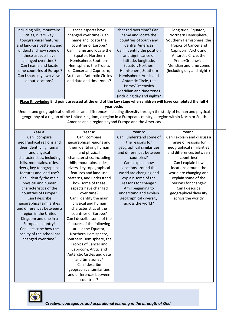| including hills, mountains, | these aspects have                  | changed over time? Can I    | longitude, Equator,          |
|-----------------------------|-------------------------------------|-----------------------------|------------------------------|
| cities, rivers, key         | changed over time? Can I            | name and locate the         | Northern Hemisphere,         |
| topographical features      | name and locate the                 | countries of South and      | Southern Hemisphere, the     |
| and land-use patterns, and  | countries of Europe?                | Central America?            | <b>Tropics of Cancer and</b> |
| understand how some of      | Can I name and locate the           | Can I identify the position | Capricorn, Arctic and        |
| these aspects have          | Equator, Northern                   | and significance of         | Antarctic Circle, the        |
| changed over time?          | Hemisphere, Southern                | latitude, longitude,        | Prime/Greenwich              |
| Can I name and locate       | Hemisphere, the Tropics             | Equator, Northern           | Meridian and time zones      |
| some countries of Europe?   | of Cancer and Capricorn,            | Hemisphere, Southern        | (including day and night)?   |
| Can I share my own views    | <b>Arctic and Antarctic Circles</b> | Hemisphere, Arctic and      |                              |
| about locations?            | and date and time zones?            | Antarctic Circle, the       |                              |
|                             |                                     | Prime/Greenwich             |                              |
|                             |                                     | Meridian and time zones     |                              |
|                             |                                     | (including day and night)?  |                              |

**Place Knowledge End point assessed at the end of the key stage when children will have completed the full 4 year cycle.**

Understand geographical similarities and differences including diversity through the study of human and physical geography of a region of the United Kingdom, a region in a European country, a region within North or South America and a region beyond Europe and the Americas

**Year a:**  Can I compare geographical regions and their identifying human and physical characteristics, including hills, mountains, cities, rivers, key topographical features and land-use? Can I identify the main physical and human characteristics of the countries of Europe? Can I describe geographical similarities and differences between a region in the United Kingdom and one in a European country? Can I describe how the locality of the school has changed over time?

Can I compare geographical regions and their identifying human and physical characteristics, including hills, mountains, cities, rivers, key topographical features and land-use patterns, and understand how some of these aspects have changed over time? Can I identify the main physical and human characteristics of the countries of Europe? Can I describe some of the features of the following areas: the Equator, Northern Hemisphere, Southern Hemisphere, the Tropics of Cancer and Capricorn, Arctic and Antarctic Circles and date and time zones? Can I describe geographical similarities and differences between countries?

**Year a:** 

#### **Year b:**

Can I understand some of the reasons for geographical similarities and differences between countries? Can I explain how locations around the world are changing and explain some of the reasons for change? Am I beginning to understand and explain geographical diversity across the world?

**Year c:** Can I explain and discuss a range of reasons for geographical similarities and differences between countries? Can I explain how locations around the world are changing and explain some of the reasons for change? Can I describe geographical diversity across the world?